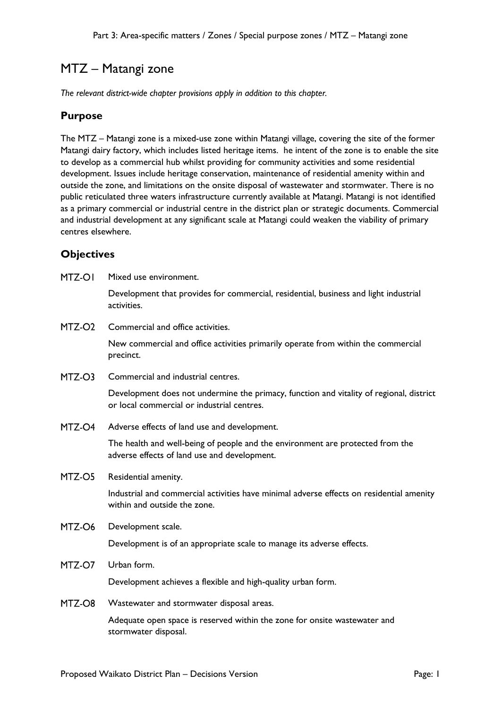# MTZ – Matangi zone

*The relevant district-wide chapter provisions apply in addition to this chapter.*

## **Purpose**

The MTZ – Matangi zone is a mixed-use zone within Matangi village, covering the site of the former Matangi dairy factory, which includes listed heritage items. he intent of the zone is to enable the site to develop as a commercial hub whilst providing for community activities and some residential development. Issues include heritage conservation, maintenance of residential amenity within and outside the zone, and limitations on the onsite disposal of wastewater and stormwater. There is no public reticulated three waters infrastructure currently available at Matangi. Matangi is not identified as a primary commercial or industrial centre in the district plan or strategic documents. Commercial and industrial development at any significant scale at Matangi could weaken the viability of primary centres elsewhere.

## **Objectives**

MTZ-OI Mixed use environment.

> Development that provides for commercial, residential, business and light industrial activities.

MTZ-O<sub>2</sub> Commercial and office activities.

> New commercial and office activities primarily operate from within the commercial precinct.

MTZ-O3 Commercial and industrial centres.

> Development does not undermine the primacy, function and vitality of regional, district or local commercial or industrial centres.

MTZ-O4 Adverse effects of land use and development.

> The health and well-being of people and the environment are protected from the adverse effects of land use and development.

MTZ-O5 Residential amenity.

> Industrial and commercial activities have minimal adverse effects on residential amenity within and outside the zone.

MTZ-O6 Development scale.

Development is of an appropriate scale to manage its adverse effects.

MTZ-O7 Urban form.

Development achieves a flexible and high-quality urban form.

MTZ-O8 Wastewater and stormwater disposal areas.

> Adequate open space is reserved within the zone for onsite wastewater and stormwater disposal.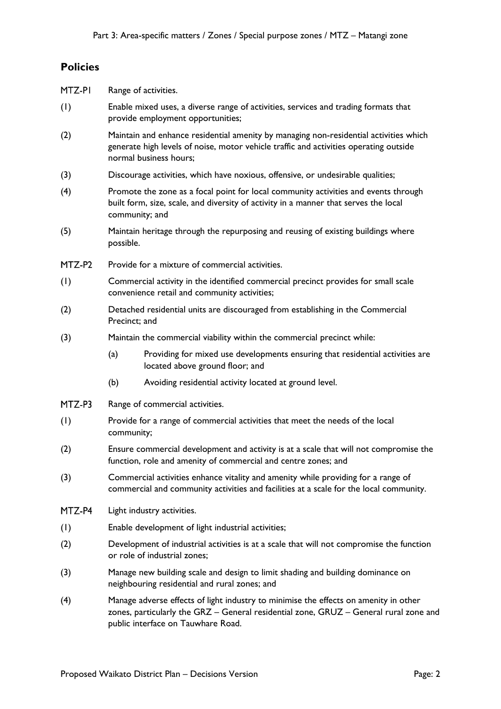## **Policies**

| MTZ-PI |                                                                                                                                                                                               | Range of activities.                                                                                                                                                                                                |
|--------|-----------------------------------------------------------------------------------------------------------------------------------------------------------------------------------------------|---------------------------------------------------------------------------------------------------------------------------------------------------------------------------------------------------------------------|
| (1)    |                                                                                                                                                                                               | Enable mixed uses, a diverse range of activities, services and trading formats that<br>provide employment opportunities;                                                                                            |
| (2)    |                                                                                                                                                                                               | Maintain and enhance residential amenity by managing non-residential activities which<br>generate high levels of noise, motor vehicle traffic and activities operating outside<br>normal business hours;            |
| (3)    | Discourage activities, which have noxious, offensive, or undesirable qualities;                                                                                                               |                                                                                                                                                                                                                     |
| (4)    | Promote the zone as a focal point for local community activities and events through<br>built form, size, scale, and diversity of activity in a manner that serves the local<br>community; and |                                                                                                                                                                                                                     |
| (5)    | possible.                                                                                                                                                                                     | Maintain heritage through the repurposing and reusing of existing buildings where                                                                                                                                   |
| MTZ-P2 |                                                                                                                                                                                               | Provide for a mixture of commercial activities.                                                                                                                                                                     |
| (1)    |                                                                                                                                                                                               | Commercial activity in the identified commercial precinct provides for small scale<br>convenience retail and community activities;                                                                                  |
| (2)    | Detached residential units are discouraged from establishing in the Commercial<br>Precinct; and                                                                                               |                                                                                                                                                                                                                     |
| (3)    |                                                                                                                                                                                               | Maintain the commercial viability within the commercial precinct while:                                                                                                                                             |
|        | (a)                                                                                                                                                                                           | Providing for mixed use developments ensuring that residential activities are<br>located above ground floor; and                                                                                                    |
|        | (b)                                                                                                                                                                                           | Avoiding residential activity located at ground level.                                                                                                                                                              |
| MTZ-P3 |                                                                                                                                                                                               | Range of commercial activities.                                                                                                                                                                                     |
| (1)    | Provide for a range of commercial activities that meet the needs of the local<br>community;                                                                                                   |                                                                                                                                                                                                                     |
| (2)    | Ensure commercial development and activity is at a scale that will not compromise the<br>function, role and amenity of commercial and centre zones; and                                       |                                                                                                                                                                                                                     |
| (3)    | Commercial activities enhance vitality and amenity while providing for a range of<br>commercial and community activities and facilities at a scale for the local community.                   |                                                                                                                                                                                                                     |
| MTZ-P4 | Light industry activities.                                                                                                                                                                    |                                                                                                                                                                                                                     |
| (1)    | Enable development of light industrial activities;                                                                                                                                            |                                                                                                                                                                                                                     |
| (2)    | Development of industrial activities is at a scale that will not compromise the function<br>or role of industrial zones;                                                                      |                                                                                                                                                                                                                     |
| (3)    |                                                                                                                                                                                               | Manage new building scale and design to limit shading and building dominance on<br>neighbouring residential and rural zones; and                                                                                    |
| (4)    |                                                                                                                                                                                               | Manage adverse effects of light industry to minimise the effects on amenity in other<br>zones, particularly the GRZ - General residential zone, GRUZ - General rural zone and<br>public interface on Tauwhare Road. |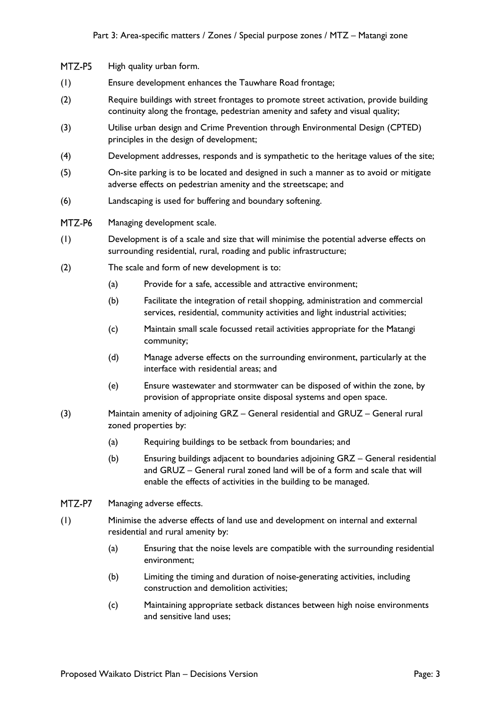- MTZ-P5 High quality urban form.
- (1) Ensure development enhances the Tauwhare Road frontage;
- (2) Require buildings with street frontages to promote street activation, provide building continuity along the frontage, pedestrian amenity and safety and visual quality;
- (3) Utilise urban design and Crime Prevention through Environmental Design (CPTED) principles in the design of development;
- (4) Development addresses, responds and is sympathetic to the heritage values of the site;
- (5) On-site parking is to be located and designed in such a manner as to avoid or mitigate adverse effects on pedestrian amenity and the streetscape; and
- (6) Landscaping is used for buffering and boundary softening.
- MTZ-P6 Managing development scale.
- (1) Development is of a scale and size that will minimise the potential adverse effects on surrounding residential, rural, roading and public infrastructure;
- (2) The scale and form of new development is to:
	- (a) Provide for a safe, accessible and attractive environment;
	- (b) Facilitate the integration of retail shopping, administration and commercial services, residential, community activities and light industrial activities;
	- (c) Maintain small scale focussed retail activities appropriate for the Matangi community;
	- (d) Manage adverse effects on the surrounding environment, particularly at the interface with residential areas; and
	- (e) Ensure wastewater and stormwater can be disposed of within the zone, by provision of appropriate onsite disposal systems and open space.
- (3) Maintain amenity of adjoining GRZ General residential and GRUZ General rural zoned properties by:
	- (a) Requiring buildings to be setback from boundaries; and
	- (b) Ensuring buildings adjacent to boundaries adjoining GRZ General residential and GRUZ – General rural zoned land will be of a form and scale that will enable the effects of activities in the building to be managed.
- MTZ-P7 Managing adverse effects.
- (1) Minimise the adverse effects of land use and development on internal and external residential and rural amenity by:
	- (a) Ensuring that the noise levels are compatible with the surrounding residential environment;
	- (b) Limiting the timing and duration of noise-generating activities, including construction and demolition activities;
	- (c) Maintaining appropriate setback distances between high noise environments and sensitive land uses;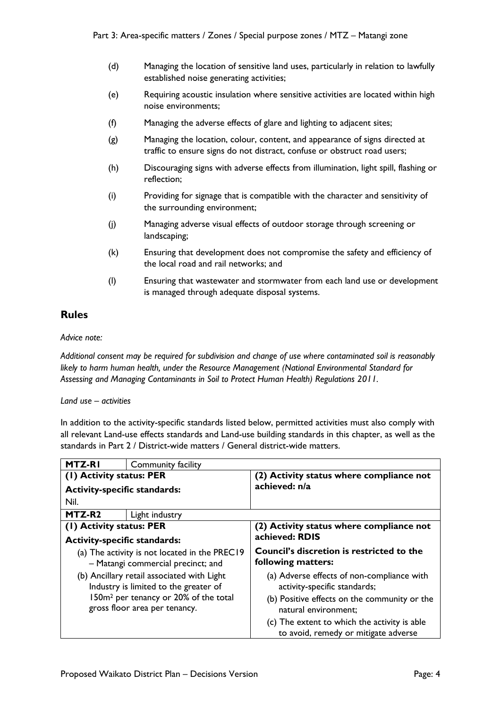- (d) Managing the location of sensitive land uses, particularly in relation to lawfully established noise generating activities;
- (e) Requiring acoustic insulation where sensitive activities are located within high noise environments;
- (f) Managing the adverse effects of glare and lighting to adjacent sites;
- (g) Managing the location, colour, content, and appearance of signs directed at traffic to ensure signs do not distract, confuse or obstruct road users;
- (h) Discouraging signs with adverse effects from illumination, light spill, flashing or reflection;
- (i) Providing for signage that is compatible with the character and sensitivity of the surrounding environment;
- (j) Managing adverse visual effects of outdoor storage through screening or landscaping;
- (k) Ensuring that development does not compromise the safety and efficiency of the local road and rail networks; and
- (l) Ensuring that wastewater and stormwater from each land use or development is managed through adequate disposal systems.

### **Rules**

#### *Advice note:*

*Additional consent may be required for subdivision and change of use where contaminated soil is reasonably likely to harm human health, under the Resource Management (National Environmental Standard for Assessing and Managing Contaminants in Soil to Protect Human Health) Regulations 2011.*

*Land use – activities*

In addition to the activity-specific standards listed below, permitted activities must also comply with all relevant Land-use effects standards and Land-use building standards in this chapter, as well as the standards in Part 2 / District-wide matters / General district-wide matters.

| <b>MTZ-RI</b>                                                                                                                                                             | Community facility |                                                                                                                                                    |
|---------------------------------------------------------------------------------------------------------------------------------------------------------------------------|--------------------|----------------------------------------------------------------------------------------------------------------------------------------------------|
| (1) Activity status: PER                                                                                                                                                  |                    | (2) Activity status where compliance not                                                                                                           |
| <b>Activity-specific standards:</b>                                                                                                                                       |                    | achieved: n/a                                                                                                                                      |
| Nil.                                                                                                                                                                      |                    |                                                                                                                                                    |
| MTZ-R <sub>2</sub>                                                                                                                                                        | Light industry     |                                                                                                                                                    |
| (1) Activity status: PER                                                                                                                                                  |                    | (2) Activity status where compliance not                                                                                                           |
| <b>Activity-specific standards:</b>                                                                                                                                       |                    | achieved: RDIS                                                                                                                                     |
| (a) The activity is not located in the PREC19<br>- Matangi commercial precinct; and                                                                                       |                    | Council's discretion is restricted to the<br>following matters:                                                                                    |
| (b) Ancillary retail associated with Light<br>Industry is limited to the greater of<br>150m <sup>2</sup> per tenancy or 20% of the total<br>gross floor area per tenancy. |                    | (a) Adverse effects of non-compliance with<br>activity-specific standards;<br>(b) Positive effects on the community or the<br>natural environment; |
|                                                                                                                                                                           |                    | (c) The extent to which the activity is able<br>to avoid, remedy or mitigate adverse                                                               |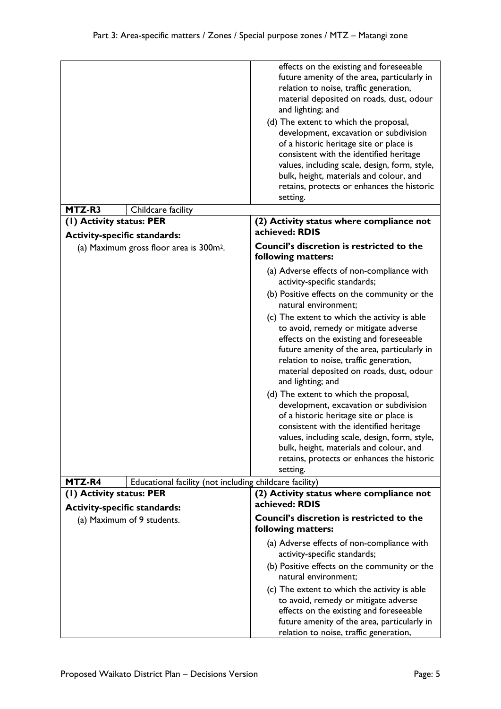|                                     |                                                         | effects on the existing and foreseeable<br>future amenity of the area, particularly in<br>relation to noise, traffic generation,<br>material deposited on roads, dust, odour<br>and lighting; and<br>(d) The extent to which the proposal,<br>development, excavation or subdivision<br>of a historic heritage site or place is<br>consistent with the identified heritage<br>values, including scale, design, form, style,<br>bulk, height, materials and colour, and<br>retains, protects or enhances the historic<br>setting.                                                                                                                                                                                                                                               |
|-------------------------------------|---------------------------------------------------------|--------------------------------------------------------------------------------------------------------------------------------------------------------------------------------------------------------------------------------------------------------------------------------------------------------------------------------------------------------------------------------------------------------------------------------------------------------------------------------------------------------------------------------------------------------------------------------------------------------------------------------------------------------------------------------------------------------------------------------------------------------------------------------|
| MTZ-R3                              | Childcare facility                                      |                                                                                                                                                                                                                                                                                                                                                                                                                                                                                                                                                                                                                                                                                                                                                                                |
| (1) Activity status: PER            |                                                         | (2) Activity status where compliance not<br>achieved: RDIS                                                                                                                                                                                                                                                                                                                                                                                                                                                                                                                                                                                                                                                                                                                     |
| <b>Activity-specific standards:</b> |                                                         |                                                                                                                                                                                                                                                                                                                                                                                                                                                                                                                                                                                                                                                                                                                                                                                |
|                                     | (a) Maximum gross floor area is 300m <sup>2</sup> .     | <b>Council's discretion is restricted to the</b><br>following matters:                                                                                                                                                                                                                                                                                                                                                                                                                                                                                                                                                                                                                                                                                                         |
|                                     |                                                         | (a) Adverse effects of non-compliance with<br>activity-specific standards;<br>(b) Positive effects on the community or the<br>natural environment;<br>(c) The extent to which the activity is able<br>to avoid, remedy or mitigate adverse<br>effects on the existing and foreseeable<br>future amenity of the area, particularly in<br>relation to noise, traffic generation,<br>material deposited on roads, dust, odour<br>and lighting; and<br>(d) The extent to which the proposal,<br>development, excavation or subdivision<br>of a historic heritage site or place is<br>consistent with the identified heritage<br>values, including scale, design, form, style,<br>bulk, height, materials and colour, and<br>retains, protects or enhances the historic<br>setting. |
| MTZ-R4                              | Educational facility (not including childcare facility) |                                                                                                                                                                                                                                                                                                                                                                                                                                                                                                                                                                                                                                                                                                                                                                                |
| (1) Activity status: PER            |                                                         | (2) Activity status where compliance not<br>achieved: RDIS                                                                                                                                                                                                                                                                                                                                                                                                                                                                                                                                                                                                                                                                                                                     |
| <b>Activity-specific standards:</b> |                                                         |                                                                                                                                                                                                                                                                                                                                                                                                                                                                                                                                                                                                                                                                                                                                                                                |
| (a) Maximum of 9 students.          |                                                         | <b>Council's discretion is restricted to the</b><br>following matters:                                                                                                                                                                                                                                                                                                                                                                                                                                                                                                                                                                                                                                                                                                         |
|                                     |                                                         | (a) Adverse effects of non-compliance with<br>activity-specific standards;<br>(b) Positive effects on the community or the<br>natural environment;                                                                                                                                                                                                                                                                                                                                                                                                                                                                                                                                                                                                                             |
|                                     |                                                         | (c) The extent to which the activity is able<br>to avoid, remedy or mitigate adverse<br>effects on the existing and foreseeable<br>future amenity of the area, particularly in<br>relation to noise, traffic generation,                                                                                                                                                                                                                                                                                                                                                                                                                                                                                                                                                       |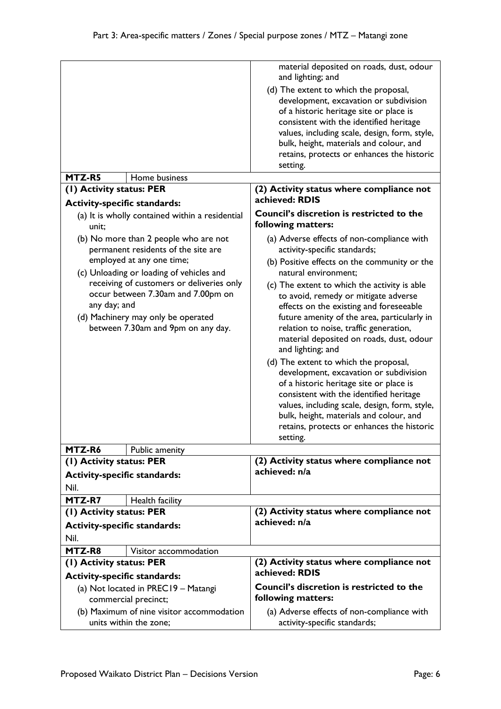| MTZ-R5<br>Home business                                                                                                                                                                                                                                                                                                              | material deposited on roads, dust, odour<br>and lighting; and<br>(d) The extent to which the proposal,<br>development, excavation or subdivision<br>of a historic heritage site or place is<br>consistent with the identified heritage<br>values, including scale, design, form, style,<br>bulk, height, materials and colour, and<br>retains, protects or enhances the historic<br>setting.                                                                                                                                                                                                                                                                                                                                                                                   |
|--------------------------------------------------------------------------------------------------------------------------------------------------------------------------------------------------------------------------------------------------------------------------------------------------------------------------------------|--------------------------------------------------------------------------------------------------------------------------------------------------------------------------------------------------------------------------------------------------------------------------------------------------------------------------------------------------------------------------------------------------------------------------------------------------------------------------------------------------------------------------------------------------------------------------------------------------------------------------------------------------------------------------------------------------------------------------------------------------------------------------------|
| (1) Activity status: PER                                                                                                                                                                                                                                                                                                             | (2) Activity status where compliance not                                                                                                                                                                                                                                                                                                                                                                                                                                                                                                                                                                                                                                                                                                                                       |
| <b>Activity-specific standards:</b>                                                                                                                                                                                                                                                                                                  | achieved: RDIS                                                                                                                                                                                                                                                                                                                                                                                                                                                                                                                                                                                                                                                                                                                                                                 |
| (a) It is wholly contained within a residential<br>unit;                                                                                                                                                                                                                                                                             | <b>Council's discretion is restricted to the</b><br>following matters:                                                                                                                                                                                                                                                                                                                                                                                                                                                                                                                                                                                                                                                                                                         |
| (b) No more than 2 people who are not<br>permanent residents of the site are<br>employed at any one time;<br>(c) Unloading or loading of vehicles and<br>receiving of customers or deliveries only<br>occur between 7.30am and 7.00pm on<br>any day; and<br>(d) Machinery may only be operated<br>between 7.30am and 9pm on any day. | (a) Adverse effects of non-compliance with<br>activity-specific standards;<br>(b) Positive effects on the community or the<br>natural environment;<br>(c) The extent to which the activity is able<br>to avoid, remedy or mitigate adverse<br>effects on the existing and foreseeable<br>future amenity of the area, particularly in<br>relation to noise, traffic generation,<br>material deposited on roads, dust, odour<br>and lighting; and<br>(d) The extent to which the proposal,<br>development, excavation or subdivision<br>of a historic heritage site or place is<br>consistent with the identified heritage<br>values, including scale, design, form, style,<br>bulk, height, materials and colour, and<br>retains, protects or enhances the historic<br>setting. |
| MTZ-R6<br>Public amenity                                                                                                                                                                                                                                                                                                             |                                                                                                                                                                                                                                                                                                                                                                                                                                                                                                                                                                                                                                                                                                                                                                                |
| (1) Activity status: PER                                                                                                                                                                                                                                                                                                             | (2) Activity status where compliance not                                                                                                                                                                                                                                                                                                                                                                                                                                                                                                                                                                                                                                                                                                                                       |
| <b>Activity-specific standards:</b><br>Nil.                                                                                                                                                                                                                                                                                          | achieved: n/a                                                                                                                                                                                                                                                                                                                                                                                                                                                                                                                                                                                                                                                                                                                                                                  |
| MTZ-R7<br>Health facility                                                                                                                                                                                                                                                                                                            |                                                                                                                                                                                                                                                                                                                                                                                                                                                                                                                                                                                                                                                                                                                                                                                |
| (1) Activity status: PER                                                                                                                                                                                                                                                                                                             | (2) Activity status where compliance not                                                                                                                                                                                                                                                                                                                                                                                                                                                                                                                                                                                                                                                                                                                                       |
| <b>Activity-specific standards:</b><br>Nil.                                                                                                                                                                                                                                                                                          | achieved: n/a                                                                                                                                                                                                                                                                                                                                                                                                                                                                                                                                                                                                                                                                                                                                                                  |
| MTZ-R8<br>Visitor accommodation                                                                                                                                                                                                                                                                                                      |                                                                                                                                                                                                                                                                                                                                                                                                                                                                                                                                                                                                                                                                                                                                                                                |
| (1) Activity status: PER<br><b>Activity-specific standards:</b>                                                                                                                                                                                                                                                                      | (2) Activity status where compliance not<br>achieved: RDIS                                                                                                                                                                                                                                                                                                                                                                                                                                                                                                                                                                                                                                                                                                                     |
| (a) Not located in PREC19 - Matangi                                                                                                                                                                                                                                                                                                  | Council's discretion is restricted to the<br>following matters:                                                                                                                                                                                                                                                                                                                                                                                                                                                                                                                                                                                                                                                                                                                |
| commercial precinct;                                                                                                                                                                                                                                                                                                                 |                                                                                                                                                                                                                                                                                                                                                                                                                                                                                                                                                                                                                                                                                                                                                                                |
| (b) Maximum of nine visitor accommodation<br>units within the zone;                                                                                                                                                                                                                                                                  | (a) Adverse effects of non-compliance with<br>activity-specific standards;                                                                                                                                                                                                                                                                                                                                                                                                                                                                                                                                                                                                                                                                                                     |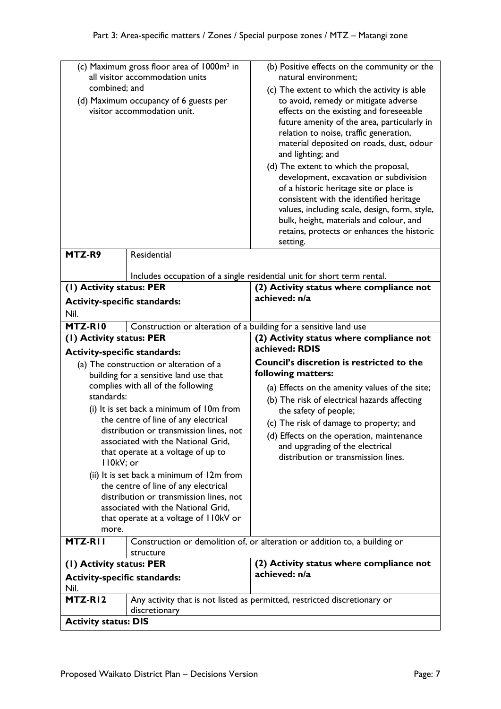| combined; and                                                                  | (c) Maximum gross floor area of 1000m <sup>2</sup> in<br>all visitor accommodation units<br>(d) Maximum occupancy of 6 guests per<br>visitor accommodation unit. | (b) Positive effects on the community or the<br>natural environment:<br>(c) The extent to which the activity is able<br>to avoid, remedy or mitigate adverse<br>effects on the existing and foreseeable<br>future amenity of the area, particularly in<br>relation to noise, traffic generation,<br>material deposited on roads, dust, odour<br>and lighting; and<br>(d) The extent to which the proposal,<br>development, excavation or subdivision<br>of a historic heritage site or place is<br>consistent with the identified heritage<br>values, including scale, design, form, style,<br>bulk, height, materials and colour, and<br>retains, protects or enhances the historic<br>setting. |
|--------------------------------------------------------------------------------|------------------------------------------------------------------------------------------------------------------------------------------------------------------|--------------------------------------------------------------------------------------------------------------------------------------------------------------------------------------------------------------------------------------------------------------------------------------------------------------------------------------------------------------------------------------------------------------------------------------------------------------------------------------------------------------------------------------------------------------------------------------------------------------------------------------------------------------------------------------------------|
| MTZ-R9                                                                         | <b>Residential</b>                                                                                                                                               | Includes occupation of a single residential unit for short term rental.                                                                                                                                                                                                                                                                                                                                                                                                                                                                                                                                                                                                                          |
| (1) Activity status: PER                                                       |                                                                                                                                                                  | (2) Activity status where compliance not                                                                                                                                                                                                                                                                                                                                                                                                                                                                                                                                                                                                                                                         |
| <b>Activity-specific standards:</b>                                            |                                                                                                                                                                  | achieved: n/a                                                                                                                                                                                                                                                                                                                                                                                                                                                                                                                                                                                                                                                                                    |
| Nil.                                                                           |                                                                                                                                                                  |                                                                                                                                                                                                                                                                                                                                                                                                                                                                                                                                                                                                                                                                                                  |
| MTZ-RIO                                                                        |                                                                                                                                                                  |                                                                                                                                                                                                                                                                                                                                                                                                                                                                                                                                                                                                                                                                                                  |
|                                                                                | Construction or alteration of a building for a sensitive land use                                                                                                | (2) Activity status where compliance not                                                                                                                                                                                                                                                                                                                                                                                                                                                                                                                                                                                                                                                         |
| (I) Activity status: PER                                                       |                                                                                                                                                                  | achieved: RDIS                                                                                                                                                                                                                                                                                                                                                                                                                                                                                                                                                                                                                                                                                   |
| <b>Activity-specific standards:</b><br>(a) The construction or alteration of a |                                                                                                                                                                  | Council's discretion is restricted to the                                                                                                                                                                                                                                                                                                                                                                                                                                                                                                                                                                                                                                                        |
| building for a sensitive land use that                                         |                                                                                                                                                                  | following matters:                                                                                                                                                                                                                                                                                                                                                                                                                                                                                                                                                                                                                                                                               |
| complies with all of the following                                             |                                                                                                                                                                  | (a) Effects on the amenity values of the site;                                                                                                                                                                                                                                                                                                                                                                                                                                                                                                                                                                                                                                                   |
| standards:                                                                     |                                                                                                                                                                  | (b) The risk of electrical hazards affecting                                                                                                                                                                                                                                                                                                                                                                                                                                                                                                                                                                                                                                                     |
|                                                                                | (i) It is set back a minimum of 10m from                                                                                                                         | the safety of people;                                                                                                                                                                                                                                                                                                                                                                                                                                                                                                                                                                                                                                                                            |
|                                                                                | the centre of line of any electrical                                                                                                                             | (c) The risk of damage to property; and                                                                                                                                                                                                                                                                                                                                                                                                                                                                                                                                                                                                                                                          |
|                                                                                | distribution or transmission lines, not                                                                                                                          | (d) Effects on the operation, maintenance                                                                                                                                                                                                                                                                                                                                                                                                                                                                                                                                                                                                                                                        |
|                                                                                | associated with the National Grid,                                                                                                                               | and upgrading of the electrical                                                                                                                                                                                                                                                                                                                                                                                                                                                                                                                                                                                                                                                                  |
| II0kV; or                                                                      | that operate at a voltage of up to                                                                                                                               | distribution or transmission lines.                                                                                                                                                                                                                                                                                                                                                                                                                                                                                                                                                                                                                                                              |
| (ii) It is set back a minimum of 12m from                                      |                                                                                                                                                                  |                                                                                                                                                                                                                                                                                                                                                                                                                                                                                                                                                                                                                                                                                                  |
|                                                                                | the centre of line of any electrical                                                                                                                             |                                                                                                                                                                                                                                                                                                                                                                                                                                                                                                                                                                                                                                                                                                  |
| distribution or transmission lines, not                                        |                                                                                                                                                                  |                                                                                                                                                                                                                                                                                                                                                                                                                                                                                                                                                                                                                                                                                                  |
| associated with the National Grid,<br>that operate at a voltage of I IOkV or   |                                                                                                                                                                  |                                                                                                                                                                                                                                                                                                                                                                                                                                                                                                                                                                                                                                                                                                  |
| more.                                                                          |                                                                                                                                                                  |                                                                                                                                                                                                                                                                                                                                                                                                                                                                                                                                                                                                                                                                                                  |
| MTZ-RII                                                                        |                                                                                                                                                                  | Construction or demolition of, or alteration or addition to, a building or                                                                                                                                                                                                                                                                                                                                                                                                                                                                                                                                                                                                                       |
| structure                                                                      |                                                                                                                                                                  |                                                                                                                                                                                                                                                                                                                                                                                                                                                                                                                                                                                                                                                                                                  |
| (1) Activity status: PER                                                       |                                                                                                                                                                  | (2) Activity status where compliance not                                                                                                                                                                                                                                                                                                                                                                                                                                                                                                                                                                                                                                                         |
| <b>Activity-specific standards:</b><br>Nil.                                    |                                                                                                                                                                  | achieved: n/a                                                                                                                                                                                                                                                                                                                                                                                                                                                                                                                                                                                                                                                                                    |
| MTZ-RI2                                                                        |                                                                                                                                                                  | Any activity that is not listed as permitted, restricted discretionary or                                                                                                                                                                                                                                                                                                                                                                                                                                                                                                                                                                                                                        |
| discretionary                                                                  |                                                                                                                                                                  |                                                                                                                                                                                                                                                                                                                                                                                                                                                                                                                                                                                                                                                                                                  |
| <b>Activity status: DIS</b>                                                    |                                                                                                                                                                  |                                                                                                                                                                                                                                                                                                                                                                                                                                                                                                                                                                                                                                                                                                  |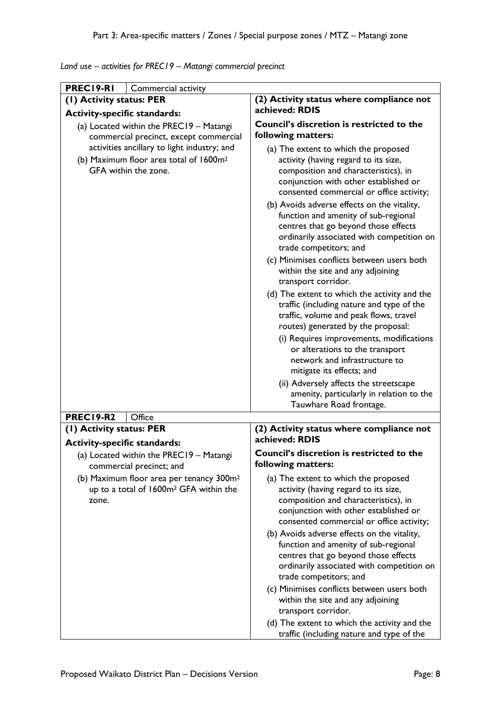|  |  | Land use - activities for PREC19 - Matangi commercial precinct |  |
|--|--|----------------------------------------------------------------|--|
|--|--|----------------------------------------------------------------|--|

| PREC19-RI<br>Commercial activity                                                                                          |                                                                                                                                                                                                                                                                                                                                                                                                                 |  |
|---------------------------------------------------------------------------------------------------------------------------|-----------------------------------------------------------------------------------------------------------------------------------------------------------------------------------------------------------------------------------------------------------------------------------------------------------------------------------------------------------------------------------------------------------------|--|
| (1) Activity status: PER                                                                                                  | (2) Activity status where compliance not                                                                                                                                                                                                                                                                                                                                                                        |  |
| <b>Activity-specific standards:</b>                                                                                       | achieved: RDIS                                                                                                                                                                                                                                                                                                                                                                                                  |  |
| (a) Located within the PREC19 - Matangi<br>commercial precinct, except commercial                                         | Council's discretion is restricted to the<br>following matters:                                                                                                                                                                                                                                                                                                                                                 |  |
| activities ancillary to light industry; and<br>(b) Maximum floor area total of 1600m <sup>2</sup><br>GFA within the zone. | (a) The extent to which the proposed<br>activity (having regard to its size,<br>composition and characteristics), in<br>conjunction with other established or<br>consented commercial or office activity;                                                                                                                                                                                                       |  |
|                                                                                                                           | (b) Avoids adverse effects on the vitality,<br>function and amenity of sub-regional<br>centres that go beyond those effects<br>ordinarily associated with competition on<br>trade competitors; and                                                                                                                                                                                                              |  |
|                                                                                                                           | (c) Minimises conflicts between users both<br>within the site and any adjoining<br>transport corridor.                                                                                                                                                                                                                                                                                                          |  |
|                                                                                                                           | (d) The extent to which the activity and the<br>traffic (including nature and type of the<br>traffic, volume and peak flows, travel<br>routes) generated by the proposal:<br>(i) Requires improvements, modifications<br>or alterations to the transport<br>network and infrastructure to                                                                                                                       |  |
|                                                                                                                           | mitigate its effects; and                                                                                                                                                                                                                                                                                                                                                                                       |  |
|                                                                                                                           | (ii) Adversely affects the streetscape<br>amenity, particularly in relation to the<br>Tauwhare Road frontage.                                                                                                                                                                                                                                                                                                   |  |
| <b>PREC19-R2</b><br>Office                                                                                                |                                                                                                                                                                                                                                                                                                                                                                                                                 |  |
| (1) Activity status: PER                                                                                                  | (2) Activity status where compliance not<br>achieved: RDIS                                                                                                                                                                                                                                                                                                                                                      |  |
| <b>Activity-specific standards:</b><br>(a) Located within the PREC19 - Matangi<br>commercial precinct; and                | Council's discretion is restricted to the<br>following matters:                                                                                                                                                                                                                                                                                                                                                 |  |
| (b) Maximum floor area per tenancy 300m <sup>2</sup><br>up to a total of 1600m <sup>2</sup> GFA within the<br>zone.       | (a) The extent to which the proposed<br>activity (having regard to its size,<br>composition and characteristics), in<br>conjunction with other established or<br>consented commercial or office activity;<br>(b) Avoids adverse effects on the vitality,<br>function and amenity of sub-regional<br>centres that go beyond those effects<br>ordinarily associated with competition on<br>trade competitors; and |  |
|                                                                                                                           | (c) Minimises conflicts between users both<br>within the site and any adjoining<br>transport corridor.<br>(d) The extent to which the activity and the                                                                                                                                                                                                                                                          |  |
|                                                                                                                           | traffic (including nature and type of the                                                                                                                                                                                                                                                                                                                                                                       |  |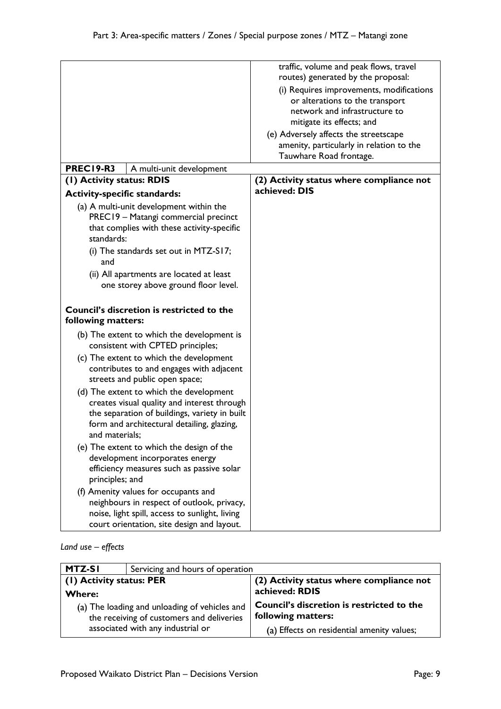|                                                                                                                                                                                                                                                                                 |                                                                                 | traffic, volume and peak flows, travel<br>routes) generated by the proposal:                                                              |
|---------------------------------------------------------------------------------------------------------------------------------------------------------------------------------------------------------------------------------------------------------------------------------|---------------------------------------------------------------------------------|-------------------------------------------------------------------------------------------------------------------------------------------|
|                                                                                                                                                                                                                                                                                 |                                                                                 | (i) Requires improvements, modifications<br>or alterations to the transport<br>network and infrastructure to<br>mitigate its effects; and |
|                                                                                                                                                                                                                                                                                 |                                                                                 | (e) Adversely affects the streetscape                                                                                                     |
|                                                                                                                                                                                                                                                                                 |                                                                                 | amenity, particularly in relation to the                                                                                                  |
|                                                                                                                                                                                                                                                                                 |                                                                                 | Tauwhare Road frontage.                                                                                                                   |
| <b>PREC19-R3</b>                                                                                                                                                                                                                                                                | A multi-unit development                                                        |                                                                                                                                           |
| (1) Activity status: RDIS                                                                                                                                                                                                                                                       |                                                                                 | (2) Activity status where compliance not                                                                                                  |
| <b>Activity-specific standards:</b>                                                                                                                                                                                                                                             |                                                                                 | achieved: DIS                                                                                                                             |
| (a) A multi-unit development within the<br>PREC19 - Matangi commercial precinct<br>that complies with these activity-specific<br>standards:<br>(i) The standards set out in MTZ-S17;<br>and<br>(ii) All apartments are located at least<br>one storey above ground floor level. |                                                                                 |                                                                                                                                           |
| <b>Council's discretion is restricted to the</b><br>following matters:                                                                                                                                                                                                          |                                                                                 |                                                                                                                                           |
|                                                                                                                                                                                                                                                                                 | (b) The extent to which the development is<br>consistent with CPTED principles; |                                                                                                                                           |
| (c) The extent to which the development<br>contributes to and engages with adjacent<br>streets and public open space;                                                                                                                                                           |                                                                                 |                                                                                                                                           |
| (d) The extent to which the development<br>creates visual quality and interest through<br>the separation of buildings, variety in built<br>form and architectural detailing, glazing,<br>and materials;                                                                         |                                                                                 |                                                                                                                                           |
| (e) The extent to which the design of the<br>development incorporates energy<br>efficiency measures such as passive solar<br>principles; and                                                                                                                                    |                                                                                 |                                                                                                                                           |
| (f) Amenity values for occupants and<br>neighbours in respect of outlook, privacy,<br>noise, light spill, access to sunlight, living<br>court orientation, site design and layout.                                                                                              |                                                                                 |                                                                                                                                           |

## *Land use – effects*

| MTZ-SI                                                                                     | Servicing and hours of operation |                                                                 |
|--------------------------------------------------------------------------------------------|----------------------------------|-----------------------------------------------------------------|
| (1) Activity status: PER                                                                   |                                  | (2) Activity status where compliance not                        |
| <b>Where:</b>                                                                              |                                  | achieved: RDIS                                                  |
| (a) The loading and unloading of vehicles and<br>the receiving of customers and deliveries |                                  | Council's discretion is restricted to the<br>following matters: |
| associated with any industrial or                                                          |                                  | (a) Effects on residential amenity values;                      |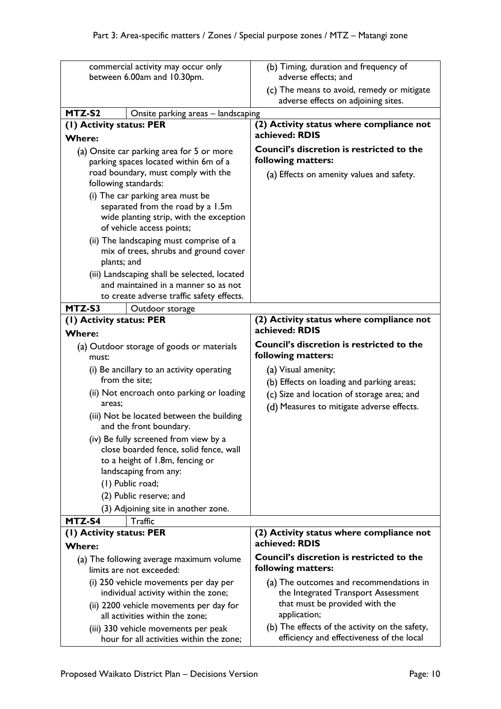| commercial activity may occur only                                               | (b) Timing, duration and frequency of                                                       |
|----------------------------------------------------------------------------------|---------------------------------------------------------------------------------------------|
| between 6.00am and 10.30pm.                                                      | adverse effects; and                                                                        |
|                                                                                  | (c) The means to avoid, remedy or mitigate<br>adverse effects on adjoining sites.           |
| MTZ-S2<br>Onsite parking areas - landscaping                                     |                                                                                             |
| (I) Activity status: PER                                                         | (2) Activity status where compliance not                                                    |
| <b>Where:</b>                                                                    | achieved: RDIS                                                                              |
| (a) Onsite car parking area for 5 or more                                        | Council's discretion is restricted to the                                                   |
| parking spaces located within 6m of a                                            | following matters:                                                                          |
| road boundary, must comply with the                                              | (a) Effects on amenity values and safety.                                                   |
| following standards:                                                             |                                                                                             |
| (i) The car parking area must be                                                 |                                                                                             |
| separated from the road by a 1.5m<br>wide planting strip, with the exception     |                                                                                             |
| of vehicle access points;                                                        |                                                                                             |
| (ii) The landscaping must comprise of a                                          |                                                                                             |
| mix of trees, shrubs and ground cover                                            |                                                                                             |
| plants; and                                                                      |                                                                                             |
| (iii) Landscaping shall be selected, located                                     |                                                                                             |
| and maintained in a manner so as not                                             |                                                                                             |
| to create adverse traffic safety effects.                                        |                                                                                             |
| MTZ-S3<br>Outdoor storage                                                        |                                                                                             |
| (1) Activity status: PER                                                         | (2) Activity status where compliance not<br>achieved: RDIS                                  |
| <b>Where:</b>                                                                    |                                                                                             |
| (a) Outdoor storage of goods or materials                                        | <b>Council's discretion is restricted to the</b><br>following matters:                      |
| must:                                                                            |                                                                                             |
| (i) Be ancillary to an activity operating<br>from the site;                      | (a) Visual amenity;<br>(b) Effects on loading and parking areas;                            |
| (ii) Not encroach onto parking or loading                                        | (c) Size and location of storage area; and                                                  |
| areas:                                                                           | (d) Measures to mitigate adverse effects.                                                   |
| (iii) Not be located between the building                                        |                                                                                             |
| and the front boundary.                                                          |                                                                                             |
| (iv) Be fully screened from view by a                                            |                                                                                             |
| close boarded fence, solid fence, wall                                           |                                                                                             |
| to a height of 1.8m, fencing or                                                  |                                                                                             |
| landscaping from any:                                                            |                                                                                             |
| (1) Public road;                                                                 |                                                                                             |
| (2) Public reserve; and                                                          |                                                                                             |
| (3) Adjoining site in another zone.<br>MTZ-S4<br>Traffic                         |                                                                                             |
| (1) Activity status: PER                                                         | (2) Activity status where compliance not                                                    |
| <b>Where:</b>                                                                    | achieved: RDIS                                                                              |
| (a) The following average maximum volume<br>limits are not exceeded:             | <b>Council's discretion is restricted to the</b><br>following matters:                      |
| (i) 250 vehicle movements per day per                                            | (a) The outcomes and recommendations in                                                     |
| individual activity within the zone;                                             | the Integrated Transport Assessment                                                         |
| (ii) 2200 vehicle movements per day for                                          | that must be provided with the                                                              |
| all activities within the zone;                                                  | application;                                                                                |
| (iii) 330 vehicle movements per peak<br>hour for all activities within the zone; | (b) The effects of the activity on the safety,<br>efficiency and effectiveness of the local |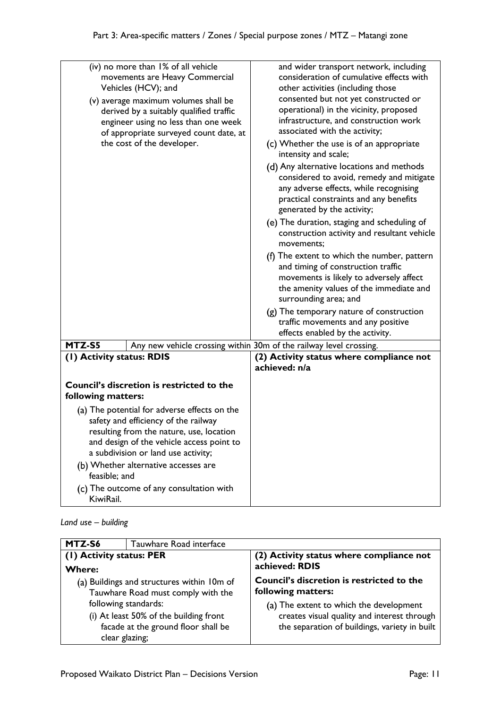|                                                                                                                                                                                                                                                                                                                                        | (iv) no more than 1% of all vehicle<br>movements are Heavy Commercial<br>Vehicles (HCV); and<br>(v) average maximum volumes shall be<br>derived by a suitably qualified traffic<br>engineer using no less than one week<br>of appropriate surveyed count date, at<br>the cost of the developer. | and wider transport network, including<br>consideration of cumulative effects with<br>other activities (including those<br>consented but not yet constructed or<br>operational) in the vicinity, proposed<br>infrastructure, and construction work<br>associated with the activity;<br>(c) Whether the use is of an appropriate<br>intensity and scale;<br>(d) Any alternative locations and methods<br>considered to avoid, remedy and mitigate<br>any adverse effects, while recognising<br>practical constraints and any benefits<br>generated by the activity;<br>(e) The duration, staging and scheduling of<br>construction activity and resultant vehicle<br>movements;<br>(f) The extent to which the number, pattern<br>and timing of construction traffic<br>movements is likely to adversely affect<br>the amenity values of the immediate and<br>surrounding area; and<br>(g) The temporary nature of construction<br>traffic movements and any positive<br>effects enabled by the activity. |
|----------------------------------------------------------------------------------------------------------------------------------------------------------------------------------------------------------------------------------------------------------------------------------------------------------------------------------------|-------------------------------------------------------------------------------------------------------------------------------------------------------------------------------------------------------------------------------------------------------------------------------------------------|----------------------------------------------------------------------------------------------------------------------------------------------------------------------------------------------------------------------------------------------------------------------------------------------------------------------------------------------------------------------------------------------------------------------------------------------------------------------------------------------------------------------------------------------------------------------------------------------------------------------------------------------------------------------------------------------------------------------------------------------------------------------------------------------------------------------------------------------------------------------------------------------------------------------------------------------------------------------------------------------------------|
| MTZ-S5                                                                                                                                                                                                                                                                                                                                 |                                                                                                                                                                                                                                                                                                 | Any new vehicle crossing within 30m of the railway level crossing.                                                                                                                                                                                                                                                                                                                                                                                                                                                                                                                                                                                                                                                                                                                                                                                                                                                                                                                                       |
| (I) Activity status: RDIS                                                                                                                                                                                                                                                                                                              |                                                                                                                                                                                                                                                                                                 | (2) Activity status where compliance not<br>achieved: n/a                                                                                                                                                                                                                                                                                                                                                                                                                                                                                                                                                                                                                                                                                                                                                                                                                                                                                                                                                |
| following matters:                                                                                                                                                                                                                                                                                                                     | <b>Council's discretion is restricted to the</b>                                                                                                                                                                                                                                                |                                                                                                                                                                                                                                                                                                                                                                                                                                                                                                                                                                                                                                                                                                                                                                                                                                                                                                                                                                                                          |
| (a) The potential for adverse effects on the<br>safety and efficiency of the railway<br>resulting from the nature, use, location<br>and design of the vehicle access point to<br>a subdivision or land use activity;<br>(b) Whether alternative accesses are<br>feasible; and<br>(c) The outcome of any consultation with<br>KiwiRail. |                                                                                                                                                                                                                                                                                                 |                                                                                                                                                                                                                                                                                                                                                                                                                                                                                                                                                                                                                                                                                                                                                                                                                                                                                                                                                                                                          |

*Land use – building*

| MTZ-S6                                                                                          | Tauwhare Road interface |                                                                                              |
|-------------------------------------------------------------------------------------------------|-------------------------|----------------------------------------------------------------------------------------------|
| (1) Activity status: PER                                                                        |                         | (2) Activity status where compliance not<br>achieved: RDIS                                   |
| <b>Where:</b>                                                                                   |                         |                                                                                              |
| (a) Buildings and structures within 10m of<br>Tauwhare Road must comply with the                |                         | Council's discretion is restricted to the<br>following matters:                              |
| following standards:                                                                            |                         | (a) The extent to which the development                                                      |
| (i) At least 50% of the building front<br>facade at the ground floor shall be<br>clear glazing; |                         | creates visual quality and interest through<br>the separation of buildings, variety in built |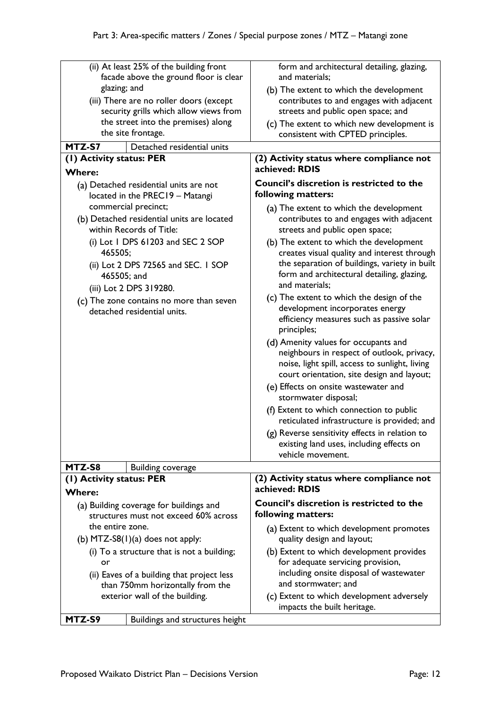| (ii) At least 25% of the building front<br>facade above the ground floor is clear                                                                           | form and architectural detailing, glazing,<br>and materials;                                                                                                                                                                              |  |  |
|-------------------------------------------------------------------------------------------------------------------------------------------------------------|-------------------------------------------------------------------------------------------------------------------------------------------------------------------------------------------------------------------------------------------|--|--|
| glazing; and<br>(iii) There are no roller doors (except                                                                                                     | (b) The extent to which the development<br>contributes to and engages with adjacent                                                                                                                                                       |  |  |
| security grills which allow views from                                                                                                                      | streets and public open space; and                                                                                                                                                                                                        |  |  |
| the street into the premises) along                                                                                                                         | (c) The extent to which new development is                                                                                                                                                                                                |  |  |
| the site frontage.                                                                                                                                          | consistent with CPTED principles.                                                                                                                                                                                                         |  |  |
| MTZ-S7<br>Detached residential units                                                                                                                        |                                                                                                                                                                                                                                           |  |  |
| (1) Activity status: PER<br><b>Where:</b>                                                                                                                   | (2) Activity status where compliance not<br>achieved: RDIS                                                                                                                                                                                |  |  |
| (a) Detached residential units are not<br>located in the PREC19 - Matangi<br>commercial precinct;<br>(b) Detached residential units are located             | <b>Council's discretion is restricted to the</b><br>following matters:<br>(a) The extent to which the development<br>contributes to and engages with adjacent                                                                             |  |  |
| within Records of Title:<br>(i) Lot 1 DPS $61203$ and SEC 2 SOP<br>465505;<br>(ii) Lot 2 DPS 72565 and SEC. I SOP<br>465505; and<br>(iii) Lot 2 DPS 319280. | streets and public open space;<br>(b) The extent to which the development<br>creates visual quality and interest through<br>the separation of buildings, variety in built<br>form and architectural detailing, glazing,<br>and materials; |  |  |
| (c) The zone contains no more than seven<br>detached residential units.                                                                                     | (c) The extent to which the design of the<br>development incorporates energy<br>efficiency measures such as passive solar<br>principles;                                                                                                  |  |  |
|                                                                                                                                                             | (d) Amenity values for occupants and<br>neighbours in respect of outlook, privacy,<br>noise, light spill, access to sunlight, living<br>court orientation, site design and layout;                                                        |  |  |
|                                                                                                                                                             | (e) Effects on onsite wastewater and<br>stormwater disposal;                                                                                                                                                                              |  |  |
|                                                                                                                                                             | (f) Extent to which connection to public<br>reticulated infrastructure is provided; and                                                                                                                                                   |  |  |
|                                                                                                                                                             | (g) Reverse sensitivity effects in relation to<br>existing land uses, including effects on<br>vehicle movement.                                                                                                                           |  |  |
| MTZ-S8<br><b>Building coverage</b>                                                                                                                          |                                                                                                                                                                                                                                           |  |  |
| (1) Activity status: PER<br><b>Where:</b>                                                                                                                   | (2) Activity status where compliance not<br>achieved: RDIS                                                                                                                                                                                |  |  |
| (a) Building coverage for buildings and                                                                                                                     | Council's discretion is restricted to the                                                                                                                                                                                                 |  |  |
| structures must not exceed 60% across                                                                                                                       | following matters:                                                                                                                                                                                                                        |  |  |
| the entire zone.                                                                                                                                            | (a) Extent to which development promotes                                                                                                                                                                                                  |  |  |
| (b) $MTZ-S8(1)(a)$ does not apply:                                                                                                                          | quality design and layout;                                                                                                                                                                                                                |  |  |
| (i) To a structure that is not a building;                                                                                                                  | (b) Extent to which development provides                                                                                                                                                                                                  |  |  |
| or                                                                                                                                                          | for adequate servicing provision,                                                                                                                                                                                                         |  |  |
| (ii) Eaves of a building that project less                                                                                                                  | including onsite disposal of wastewater                                                                                                                                                                                                   |  |  |
| than 750mm horizontally from the                                                                                                                            | and stormwater; and                                                                                                                                                                                                                       |  |  |
| exterior wall of the building.                                                                                                                              | (c) Extent to which development adversely<br>impacts the built heritage.                                                                                                                                                                  |  |  |
| MTZ-S9<br>Buildings and structures height                                                                                                                   |                                                                                                                                                                                                                                           |  |  |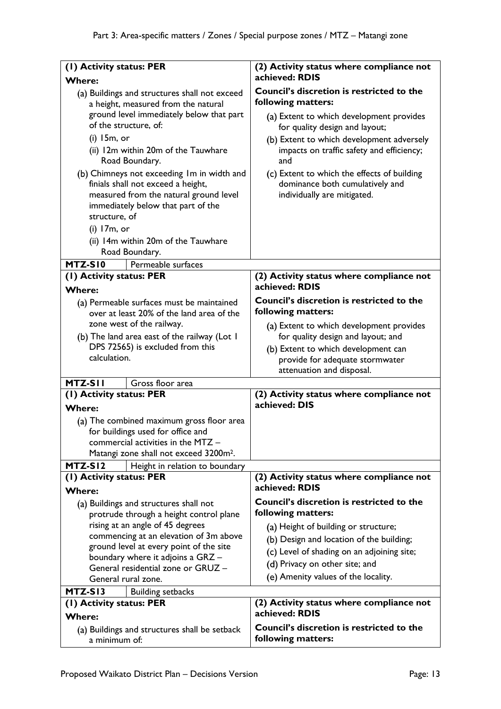| (I) Activity status: PER                                                                                                                                                                                                                                                                                                                                                                                                                                                                          | (2) Activity status where compliance not                                                                                                                                                                                                                                                                                                                        |  |  |
|---------------------------------------------------------------------------------------------------------------------------------------------------------------------------------------------------------------------------------------------------------------------------------------------------------------------------------------------------------------------------------------------------------------------------------------------------------------------------------------------------|-----------------------------------------------------------------------------------------------------------------------------------------------------------------------------------------------------------------------------------------------------------------------------------------------------------------------------------------------------------------|--|--|
|                                                                                                                                                                                                                                                                                                                                                                                                                                                                                                   | achieved: RDIS                                                                                                                                                                                                                                                                                                                                                  |  |  |
| <b>Where:</b><br>(a) Buildings and structures shall not exceed<br>a height, measured from the natural<br>ground level immediately below that part<br>of the structure, of:<br>$(i)$ 15m, or<br>(ii) 12m within 20m of the Tauwhare<br>Road Boundary.<br>(b) Chimneys not exceeding Im in width and<br>finials shall not exceed a height,<br>measured from the natural ground level<br>immediately below that part of the<br>structure, of<br>$(i)$ 17m, or<br>(ii) 14m within 20m of the Tauwhare | Council's discretion is restricted to the<br>following matters:<br>(a) Extent to which development provides<br>for quality design and layout;<br>(b) Extent to which development adversely<br>impacts on traffic safety and efficiency;<br>and<br>(c) Extent to which the effects of building<br>dominance both cumulatively and<br>individually are mitigated. |  |  |
| Road Boundary.                                                                                                                                                                                                                                                                                                                                                                                                                                                                                    |                                                                                                                                                                                                                                                                                                                                                                 |  |  |
| MTZ-SI0<br>Permeable surfaces                                                                                                                                                                                                                                                                                                                                                                                                                                                                     |                                                                                                                                                                                                                                                                                                                                                                 |  |  |
| (1) Activity status: PER<br><b>Where:</b>                                                                                                                                                                                                                                                                                                                                                                                                                                                         | (2) Activity status where compliance not<br>achieved: RDIS                                                                                                                                                                                                                                                                                                      |  |  |
| (a) Permeable surfaces must be maintained<br>over at least 20% of the land area of the<br>zone west of the railway.<br>(b) The land area east of the railway (Lot I<br>DPS 72565) is excluded from this<br>calculation.                                                                                                                                                                                                                                                                           | Council's discretion is restricted to the<br>following matters:<br>(a) Extent to which development provides<br>for quality design and layout; and<br>(b) Extent to which development can<br>provide for adequate stormwater<br>attenuation and disposal.                                                                                                        |  |  |
| MTZ-SII<br>Gross floor area                                                                                                                                                                                                                                                                                                                                                                                                                                                                       |                                                                                                                                                                                                                                                                                                                                                                 |  |  |
| (I) Activity status: PER                                                                                                                                                                                                                                                                                                                                                                                                                                                                          | (2) Activity status where compliance not                                                                                                                                                                                                                                                                                                                        |  |  |
| <b>Where:</b>                                                                                                                                                                                                                                                                                                                                                                                                                                                                                     | achieved: DIS                                                                                                                                                                                                                                                                                                                                                   |  |  |
| (a) The combined maximum gross floor area<br>for buildings used for office and<br>commercial activities in the MTZ -<br>Matangi zone shall not exceed 3200m <sup>2</sup> .                                                                                                                                                                                                                                                                                                                        |                                                                                                                                                                                                                                                                                                                                                                 |  |  |
| MTZ-SI2<br>Height in relation to boundary                                                                                                                                                                                                                                                                                                                                                                                                                                                         |                                                                                                                                                                                                                                                                                                                                                                 |  |  |
| (I) Activity status: PER<br><b>Where:</b>                                                                                                                                                                                                                                                                                                                                                                                                                                                         | (2) Activity status where compliance not<br>achieved: RDIS                                                                                                                                                                                                                                                                                                      |  |  |
| (a) Buildings and structures shall not<br>protrude through a height control plane<br>rising at an angle of 45 degrees<br>commencing at an elevation of 3m above<br>ground level at every point of the site<br>boundary where it adjoins a GRZ -<br>General residential zone or GRUZ -<br>General rural zone.                                                                                                                                                                                      | Council's discretion is restricted to the<br>following matters:<br>(a) Height of building or structure;<br>(b) Design and location of the building;<br>(c) Level of shading on an adjoining site;<br>(d) Privacy on other site; and<br>(e) Amenity values of the locality.                                                                                      |  |  |
| MTZ-SI3<br><b>Building setbacks</b>                                                                                                                                                                                                                                                                                                                                                                                                                                                               |                                                                                                                                                                                                                                                                                                                                                                 |  |  |
| (I) Activity status: PER<br><b>Where:</b>                                                                                                                                                                                                                                                                                                                                                                                                                                                         | (2) Activity status where compliance not<br>achieved: RDIS                                                                                                                                                                                                                                                                                                      |  |  |
| (a) Buildings and structures shall be setback<br>a minimum of:                                                                                                                                                                                                                                                                                                                                                                                                                                    | <b>Council's discretion is restricted to the</b><br>following matters:                                                                                                                                                                                                                                                                                          |  |  |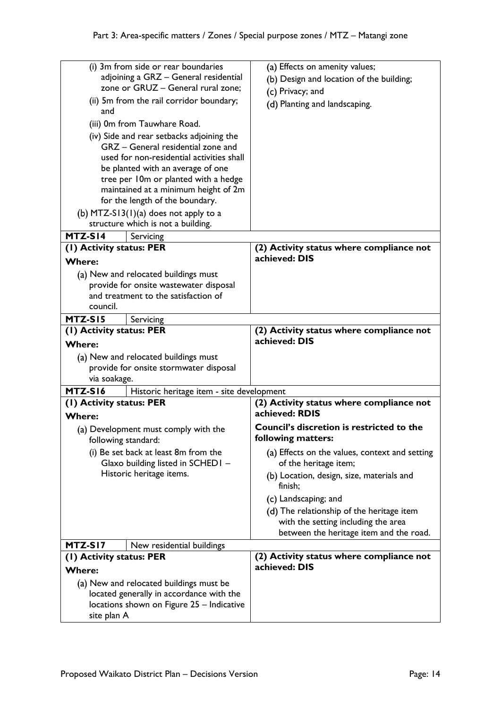| (i) 3m from side or rear boundaries                                     |                                                                           | (a) Effects on amenity values;                                                   |  |  |
|-------------------------------------------------------------------------|---------------------------------------------------------------------------|----------------------------------------------------------------------------------|--|--|
| adjoining a GRZ - General residential                                   |                                                                           | (b) Design and location of the building;                                         |  |  |
| zone or GRUZ - General rural zone;                                      |                                                                           | (c) Privacy; and                                                                 |  |  |
| (ii) 5m from the rail corridor boundary;<br>and                         |                                                                           | (d) Planting and landscaping.                                                    |  |  |
| (iii) 0m from Tauwhare Road.                                            |                                                                           |                                                                                  |  |  |
| (iv) Side and rear setbacks adjoining the                               |                                                                           |                                                                                  |  |  |
| GRZ - General residential zone and                                      |                                                                           |                                                                                  |  |  |
| used for non-residential activities shall                               |                                                                           |                                                                                  |  |  |
| be planted with an average of one                                       |                                                                           |                                                                                  |  |  |
| tree per 10m or planted with a hedge                                    |                                                                           |                                                                                  |  |  |
| maintained at a minimum height of 2m<br>for the length of the boundary. |                                                                           |                                                                                  |  |  |
|                                                                         | (b) MTZ-S13(1)(a) does not apply to a                                     |                                                                                  |  |  |
|                                                                         | structure which is not a building.                                        |                                                                                  |  |  |
| MTZ-SI4                                                                 | Servicing                                                                 |                                                                                  |  |  |
| (1) Activity status: PER                                                |                                                                           | (2) Activity status where compliance not                                         |  |  |
| <b>Where:</b>                                                           |                                                                           | achieved: DIS                                                                    |  |  |
|                                                                         | (a) New and relocated buildings must                                      |                                                                                  |  |  |
|                                                                         | provide for onsite wastewater disposal                                    |                                                                                  |  |  |
|                                                                         | and treatment to the satisfaction of                                      |                                                                                  |  |  |
| council.                                                                |                                                                           |                                                                                  |  |  |
| MTZ-SI5                                                                 | Servicing                                                                 |                                                                                  |  |  |
| (I) Activity status: PER                                                |                                                                           | (2) Activity status where compliance not<br>achieved: DIS                        |  |  |
| <b>Where:</b>                                                           |                                                                           |                                                                                  |  |  |
|                                                                         | (a) New and relocated buildings must                                      |                                                                                  |  |  |
|                                                                         | provide for onsite stormwater disposal                                    |                                                                                  |  |  |
| via soakage.                                                            |                                                                           |                                                                                  |  |  |
| MTZ-S16                                                                 | Historic heritage item - site development                                 |                                                                                  |  |  |
| (1) Activity status: PER                                                |                                                                           | (2) Activity status where compliance not<br>achieved: RDIS                       |  |  |
| <b>Where:</b>                                                           |                                                                           |                                                                                  |  |  |
|                                                                         | (a) Development must comply with the                                      | Council's discretion is restricted to the                                        |  |  |
|                                                                         | following standard:                                                       | following matters:                                                               |  |  |
|                                                                         | (i) Be set back at least 8m from the<br>Glaxo building listed in SCHED1 - | (a) Effects on the values, context and setting<br>of the heritage item;          |  |  |
| Historic heritage items.                                                |                                                                           | (b) Location, design, size, materials and                                        |  |  |
|                                                                         |                                                                           | finish;<br>(c) Landscaping; and                                                  |  |  |
|                                                                         |                                                                           |                                                                                  |  |  |
|                                                                         |                                                                           | (d) The relationship of the heritage item<br>with the setting including the area |  |  |
|                                                                         |                                                                           | between the heritage item and the road.                                          |  |  |
| MTZ-SI7                                                                 | New residential buildings                                                 |                                                                                  |  |  |
| (1) Activity status: PER                                                |                                                                           | (2) Activity status where compliance not                                         |  |  |
| <b>Where:</b>                                                           |                                                                           | achieved: DIS                                                                    |  |  |
|                                                                         | (a) New and relocated buildings must be                                   |                                                                                  |  |  |
| located generally in accordance with the                                |                                                                           |                                                                                  |  |  |
| locations shown on Figure 25 - Indicative                               |                                                                           |                                                                                  |  |  |
| site plan A                                                             |                                                                           |                                                                                  |  |  |